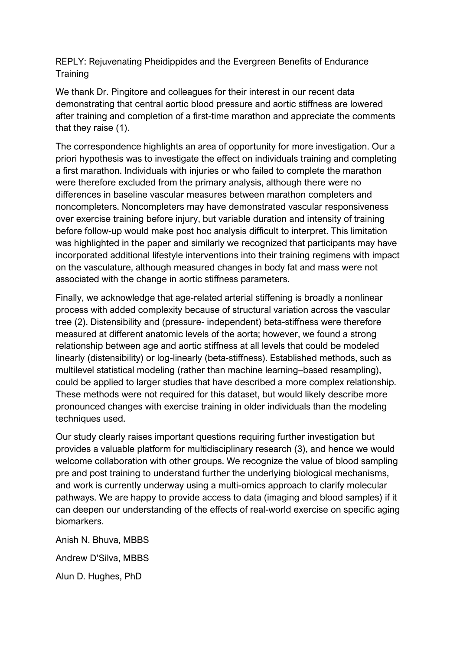REPLY: Rejuvenating Pheidippides and the Evergreen Benefits of Endurance **Training** 

We thank Dr. Pingitore and colleagues for their interest in our recent data demonstrating that central aortic blood pressure and aortic stiffness are lowered after training and completion of a first-time marathon and appreciate the comments that they raise (1).

The correspondence highlights an area of opportunity for more investigation. Our a priori hypothesis was to investigate the effect on individuals training and completing a first marathon. Individuals with injuries or who failed to complete the marathon were therefore excluded from the primary analysis, although there were no differences in baseline vascular measures between marathon completers and noncompleters. Noncompleters may have demonstrated vascular responsiveness over exercise training before injury, but variable duration and intensity of training before follow-up would make post hoc analysis difficult to interpret. This limitation was highlighted in the paper and similarly we recognized that participants may have incorporated additional lifestyle interventions into their training regimens with impact on the vasculature, although measured changes in body fat and mass were not associated with the change in aortic stiffness parameters.

Finally, we acknowledge that age-related arterial stiffening is broadly a nonlinear process with added complexity because of structural variation across the vascular tree (2). Distensibility and (pressure- independent) beta-stiffness were therefore measured at different anatomic levels of the aorta; however, we found a strong relationship between age and aortic stiffness at all levels that could be modeled linearly (distensibility) or log-linearly (beta-stiffness). Established methods, such as multilevel statistical modeling (rather than machine learning–based resampling), could be applied to larger studies that have described a more complex relationship. These methods were not required for this dataset, but would likely describe more pronounced changes with exercise training in older individuals than the modeling techniques used.

Our study clearly raises important questions requiring further investigation but provides a valuable platform for multidisciplinary research (3), and hence we would welcome collaboration with other groups. We recognize the value of blood sampling pre and post training to understand further the underlying biological mechanisms, and work is currently underway using a multi-omics approach to clarify molecular pathways. We are happy to provide access to data (imaging and blood samples) if it can deepen our understanding of the effects of real-world exercise on specific aging biomarkers.

Anish N. Bhuva, MBBS Andrew D'Silva, MBBS Alun D. Hughes, PhD